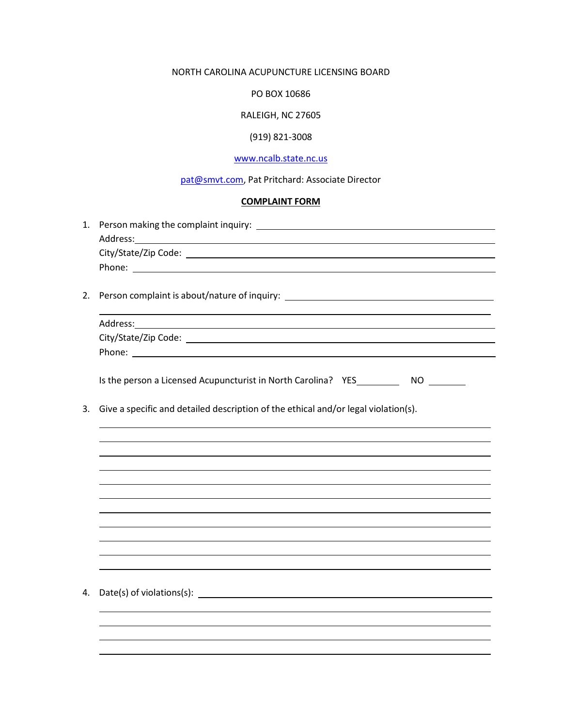## NORTH CAROLINA ACUPUNCTURE LICENSING BOARD

PO BOX 10686

RALEIGH, NC 27605

(919) 821-3008

## [www.ncalb.state.nc.us](http://www.ncalb.state.nc.us/)

[pat@smvt.com,](mailto:pat@smvt.com) Pat Pritchard: Associate Director

## **COMPLAINT FORM**

| 1. |                                                                                                                                                                                                                                      |
|----|--------------------------------------------------------------------------------------------------------------------------------------------------------------------------------------------------------------------------------------|
|    |                                                                                                                                                                                                                                      |
|    |                                                                                                                                                                                                                                      |
|    |                                                                                                                                                                                                                                      |
|    |                                                                                                                                                                                                                                      |
| 2. | Person complaint is about/nature of inquiry: ___________________________________                                                                                                                                                     |
|    | Address: Address: Address: Address: Address: Address: Address: Address: Address: Address: Address: Address: Address: Address: Address: Address: Address: Address: Address: Address: Address: Address: Address: Address: Addres       |
|    |                                                                                                                                                                                                                                      |
|    | Phone: <u>with the contract of the contract of the contract of the contract of the contract of the contract of the contract of the contract of the contract of the contract of the contract of the contract of the contract of t</u> |
|    |                                                                                                                                                                                                                                      |
|    | Is the person a Licensed Acupuncturist in North Carolina? YES ___________ NO ________                                                                                                                                                |
| 3. | Give a specific and detailed description of the ethical and/or legal violation(s).                                                                                                                                                   |
|    |                                                                                                                                                                                                                                      |
|    |                                                                                                                                                                                                                                      |
|    |                                                                                                                                                                                                                                      |
|    |                                                                                                                                                                                                                                      |
|    |                                                                                                                                                                                                                                      |
|    |                                                                                                                                                                                                                                      |
|    |                                                                                                                                                                                                                                      |
|    |                                                                                                                                                                                                                                      |
|    |                                                                                                                                                                                                                                      |
|    |                                                                                                                                                                                                                                      |
|    |                                                                                                                                                                                                                                      |
|    |                                                                                                                                                                                                                                      |
| 4. |                                                                                                                                                                                                                                      |
|    |                                                                                                                                                                                                                                      |
|    |                                                                                                                                                                                                                                      |
|    |                                                                                                                                                                                                                                      |
|    |                                                                                                                                                                                                                                      |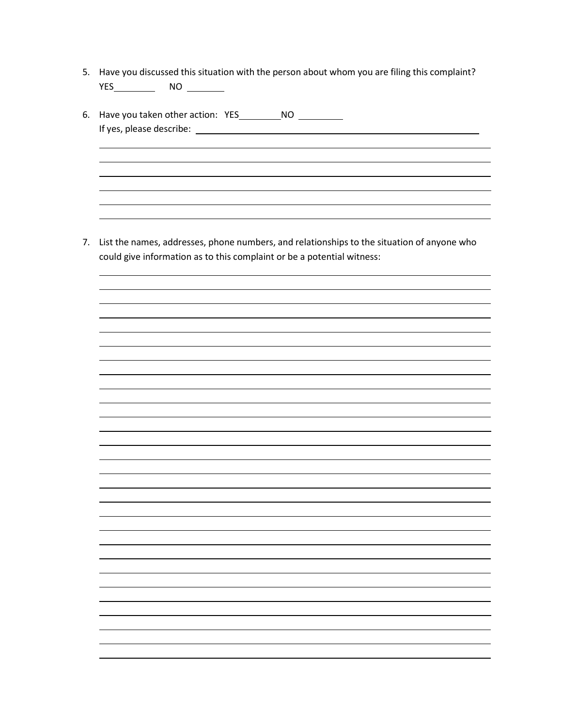- 5. Have you discussed this situation with the person about whom you are filing this complaint? YES NO
- 6. Have you taken other action: YES NO If yes, please describe:

7. List the names, addresses, phone numbers, and relationships to the situation of anyone who could give information as to this complaint or be a potential witness: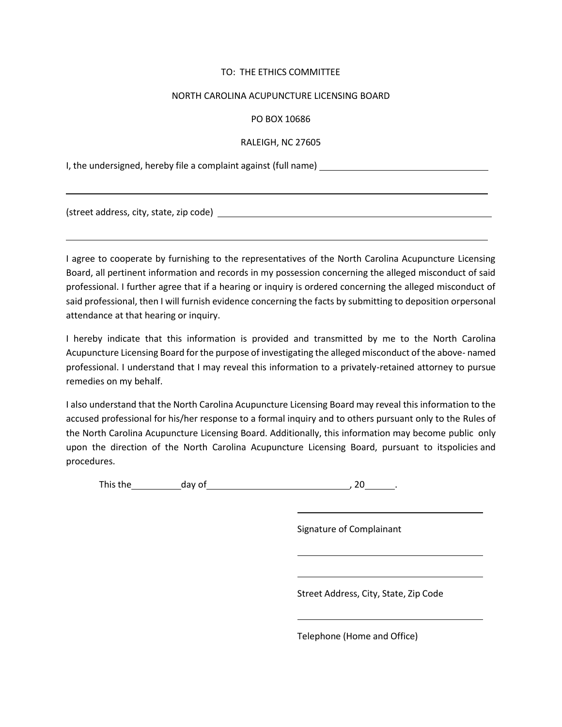### TO: THE ETHICS COMMITTEE

#### NORTH CAROLINA ACUPUNCTURE LICENSING BOARD

#### PO BOX 10686

#### RALEIGH, NC 27605

I, the undersigned, hereby file a complaint against (full name)

(street address, city, state, zip code)

I agree to cooperate by furnishing to the representatives of the North Carolina Acupuncture Licensing Board, all pertinent information and records in my possession concerning the alleged misconduct of said professional. I further agree that if a hearing or inquiry is ordered concerning the alleged misconduct of said professional, then I will furnish evidence concerning the facts by submitting to deposition orpersonal attendance at that hearing or inquiry.

I hereby indicate that this information is provided and transmitted by me to the North Carolina Acupuncture Licensing Board for the purpose of investigating the alleged misconduct of the above- named professional. I understand that I may reveal this information to a privately-retained attorney to pursue remedies on my behalf.

I also understand that the North Carolina Acupuncture Licensing Board may reveal this information to the accused professional for his/her response to a formal inquiry and to others pursuant only to the Rules of the North Carolina Acupuncture Licensing Board. Additionally, this information may become public only upon the direction of the North Carolina Acupuncture Licensing Board, pursuant to itspolicies and procedures.

This the day of  $\frac{1}{20}$ ,  $\frac{20}{100}$ 

Signature of Complainant

Street Address, City, State, Zip Code

Telephone (Home and Office)